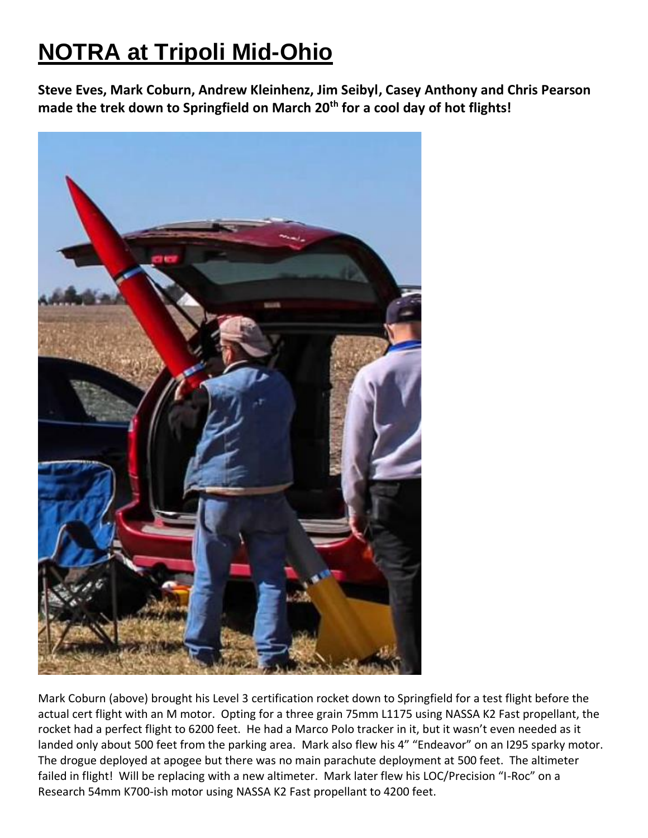## **NOTRA at Tripoli Mid-Ohio**

**Steve Eves, Mark Coburn, Andrew Kleinhenz, Jim Seibyl, Casey Anthony and Chris Pearson made the trek down to Springfield on March 20th for a cool day of hot flights!** 



Mark Coburn (above) brought his Level 3 certification rocket down to Springfield for a test flight before the actual cert flight with an M motor. Opting for a three grain 75mm L1175 using NASSA K2 Fast propellant, the rocket had a perfect flight to 6200 feet. He had a Marco Polo tracker in it, but it wasn't even needed as it landed only about 500 feet from the parking area. Mark also flew his 4" "Endeavor" on an I295 sparky motor. The drogue deployed at apogee but there was no main parachute deployment at 500 feet. The altimeter failed in flight! Will be replacing with a new altimeter. Mark later flew his LOC/Precision "I-Roc" on a Research 54mm K700-ish motor using NASSA K2 Fast propellant to 4200 feet.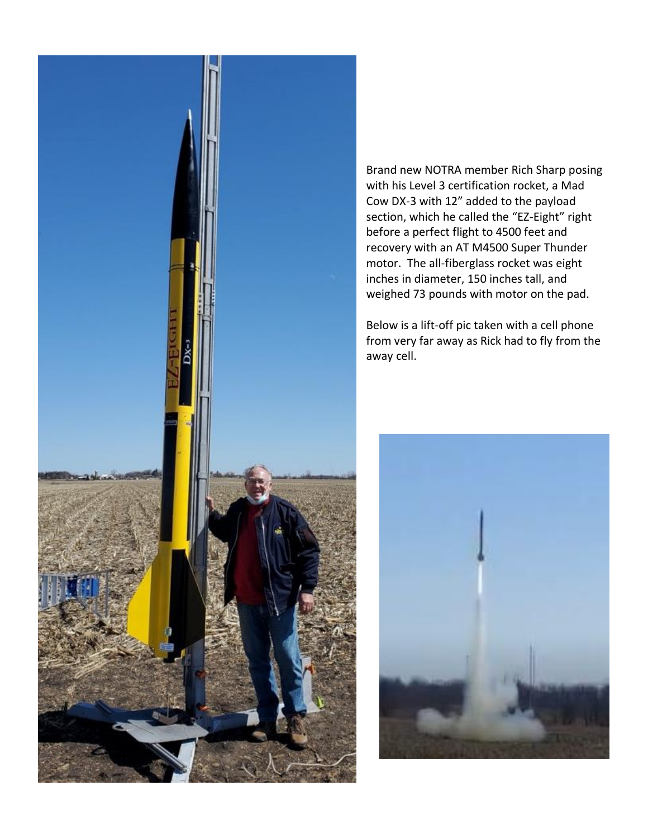

Brand new NOTRA member Rich Sharp posing with his Level 3 certification rocket, a Mad Cow DX-3 with 12" added to the payload section, which he called the "EZ-Eight" right before a perfect flight to 4500 feet and recovery with an AT M4500 Super Thunder motor. The all-fiberglass rocket was eight inches in diameter, 150 inches tall, and weighed 73 pounds with motor on the pad.

Below is a lift-off pic taken with a cell phone from very far away as Rick had to fly from the away cell.

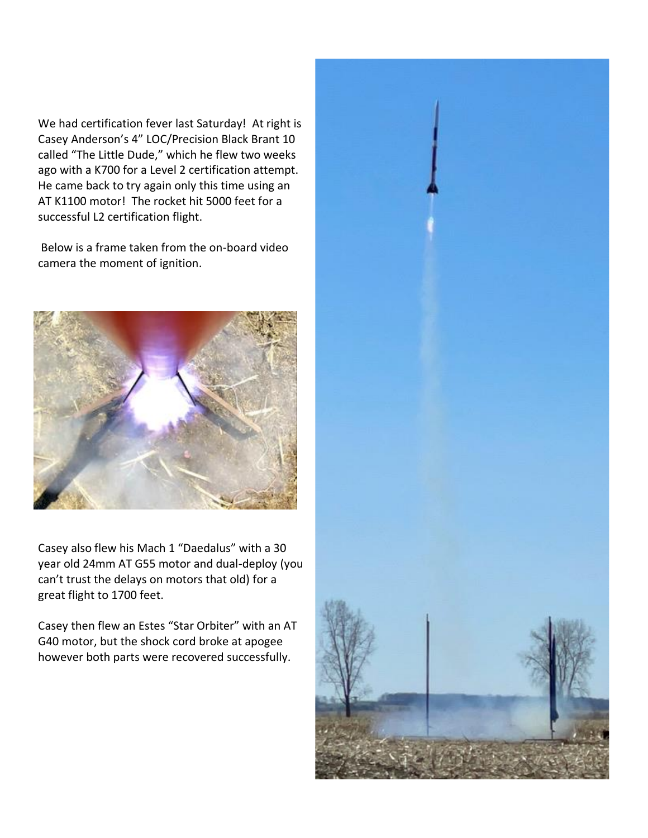We had certification fever last Saturday! At right is Casey Anderson's 4" LOC/Precision Black Brant 10 called "The Little Dude," which he flew two weeks ago with a K700 for a Level 2 certification attempt. He came back to try again only this time using an AT K1100 motor! The rocket hit 5000 feet for a successful L2 certification flight.

Below is a frame taken from the on-board video camera the moment of ignition.



Casey also flew his Mach 1 "Daedalus" with a 30 year old 24mm AT G55 motor and dual-deploy (you can't trust the delays on motors that old) for a great flight to 1700 feet.

Casey then flew an Estes "Star Orbiter" with an AT G40 motor, but the shock cord broke at apogee however both parts were recovered successfully.

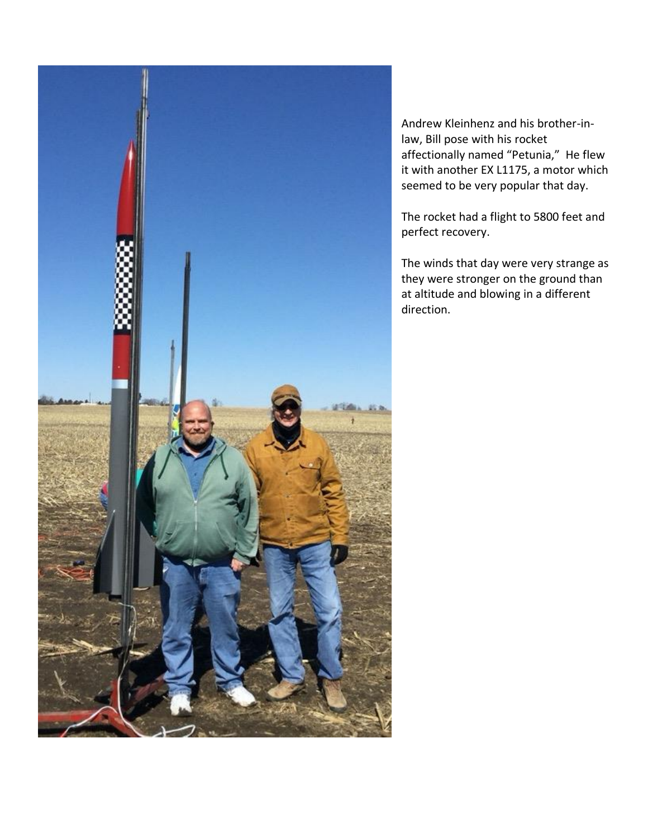

Andrew Kleinhenz and his brother-inlaw, Bill pose with his rocket affectionally named "Petunia," He flew it with another EX L1175, a motor which seemed to be very popular that day.

The rocket had a flight to 5800 feet and perfect recovery.

The winds that day were very strange as they were stronger on the ground than at altitude and blowing in a different direction.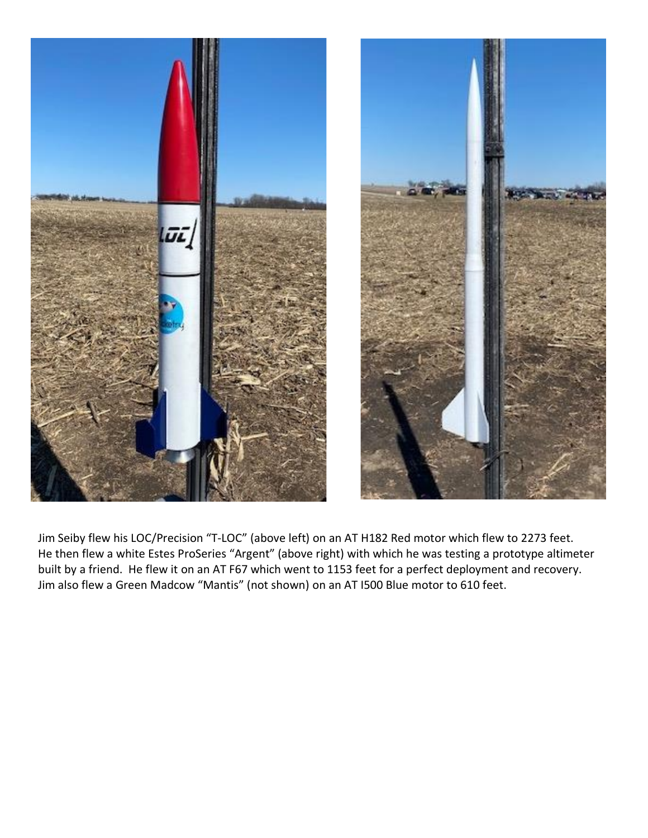

Jim Seiby flew his LOC/Precision "T-LOC" (above left) on an AT H182 Red motor which flew to 2273 feet. He then flew a white Estes ProSeries "Argent" (above right) with which he was testing a prototype altimeter built by a friend. He flew it on an AT F67 which went to 1153 feet for a perfect deployment and recovery. Jim also flew a Green Madcow "Mantis" (not shown) on an AT I500 Blue motor to 610 feet.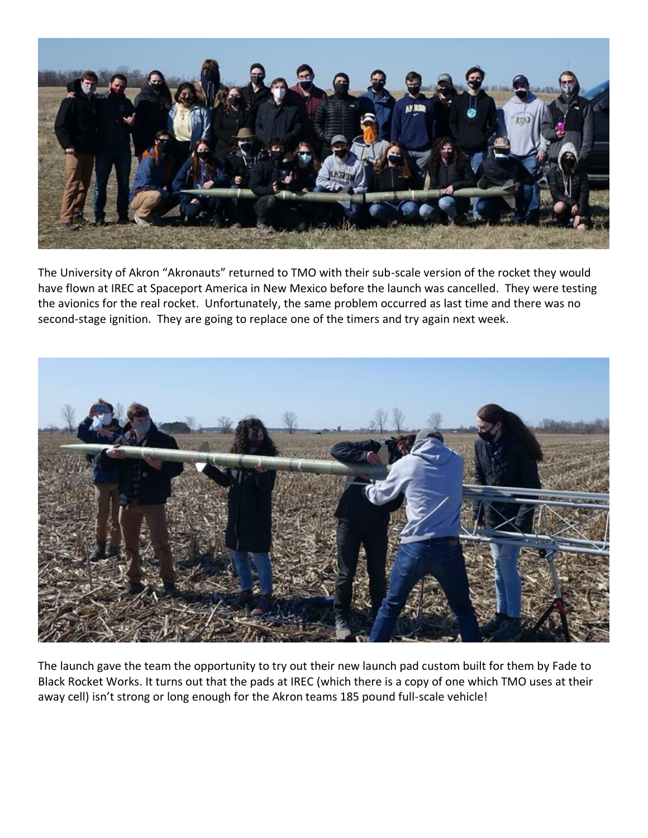

The University of Akron "Akronauts" returned to TMO with their sub-scale version of the rocket they would have flown at IREC at Spaceport America in New Mexico before the launch was cancelled. They were testing the avionics for the real rocket. Unfortunately, the same problem occurred as last time and there was no second-stage ignition. They are going to replace one of the timers and try again next week.



The launch gave the team the opportunity to try out their new launch pad custom built for them by Fade to Black Rocket Works. It turns out that the pads at IREC (which there is a copy of one which TMO uses at their away cell) isn't strong or long enough for the Akron teams 185 pound full-scale vehicle!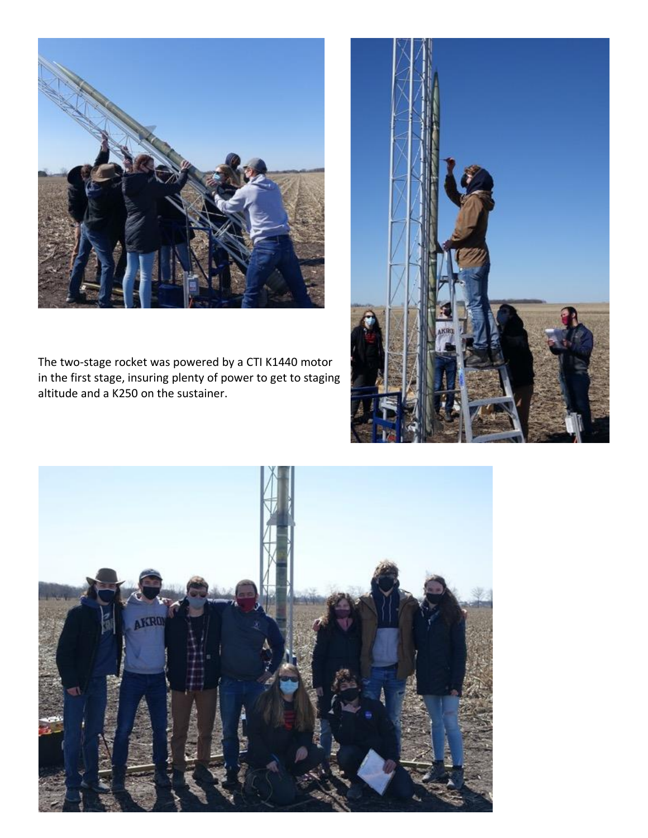

The two-stage rocket was powered by a CTI K1440 motor in the first stage, insuring plenty of power to get to staging altitude and a K250 on the sustainer.